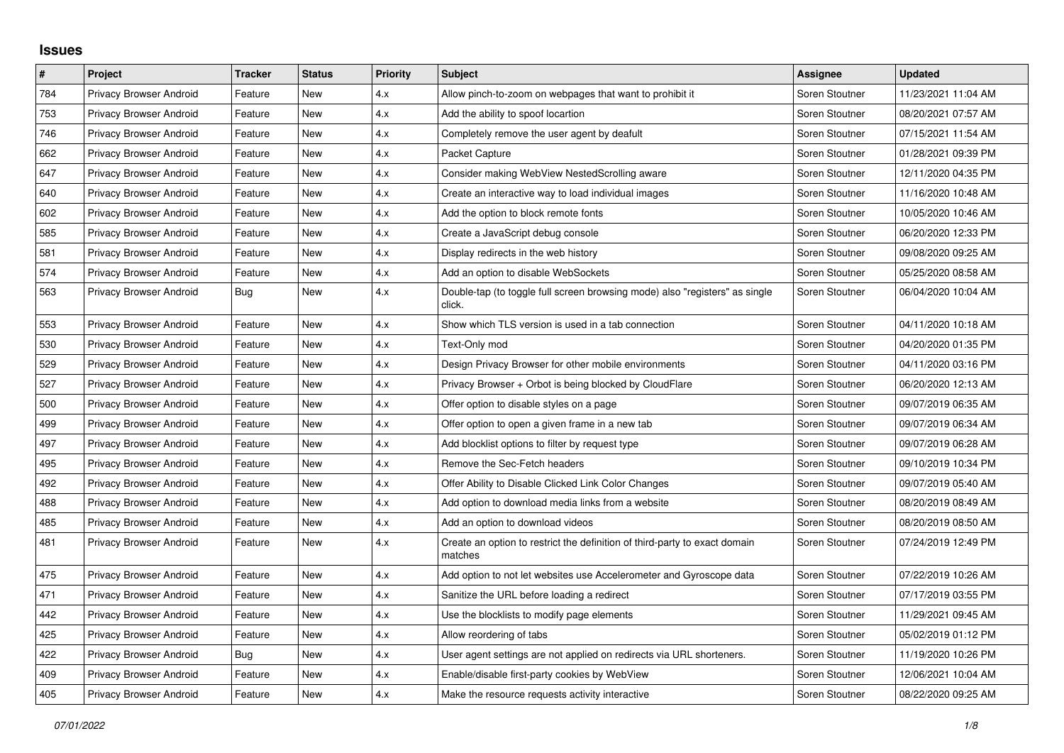## **Issues**

| $\vert$ # | Project                        | <b>Tracker</b> | <b>Status</b> | <b>Priority</b> | <b>Subject</b>                                                                        | Assignee       | <b>Updated</b>      |
|-----------|--------------------------------|----------------|---------------|-----------------|---------------------------------------------------------------------------------------|----------------|---------------------|
| 784       | Privacy Browser Android        | Feature        | New           | 4.x             | Allow pinch-to-zoom on webpages that want to prohibit it                              | Soren Stoutner | 11/23/2021 11:04 AM |
| 753       | Privacy Browser Android        | Feature        | New           | 4.x             | Add the ability to spoof locartion                                                    | Soren Stoutner | 08/20/2021 07:57 AM |
| 746       | Privacy Browser Android        | Feature        | New           | 4.x             | Completely remove the user agent by deafult                                           | Soren Stoutner | 07/15/2021 11:54 AM |
| 662       | Privacy Browser Android        | Feature        | New           | 4.x             | Packet Capture                                                                        | Soren Stoutner | 01/28/2021 09:39 PM |
| 647       | Privacy Browser Android        | Feature        | <b>New</b>    | 4.x             | Consider making WebView NestedScrolling aware                                         | Soren Stoutner | 12/11/2020 04:35 PM |
| 640       | Privacy Browser Android        | Feature        | New           | 4.x             | Create an interactive way to load individual images                                   | Soren Stoutner | 11/16/2020 10:48 AM |
| 602       | Privacy Browser Android        | Feature        | New           | 4.x             | Add the option to block remote fonts                                                  | Soren Stoutner | 10/05/2020 10:46 AM |
| 585       | Privacy Browser Android        | Feature        | New           | 4.x             | Create a JavaScript debug console                                                     | Soren Stoutner | 06/20/2020 12:33 PM |
| 581       | <b>Privacy Browser Android</b> | Feature        | New           | 4.x             | Display redirects in the web history                                                  | Soren Stoutner | 09/08/2020 09:25 AM |
| 574       | Privacy Browser Android        | Feature        | New           | 4.x             | Add an option to disable WebSockets                                                   | Soren Stoutner | 05/25/2020 08:58 AM |
| 563       | Privacy Browser Android        | Bug            | New           | 4.x             | Double-tap (to toggle full screen browsing mode) also "registers" as single<br>click. | Soren Stoutner | 06/04/2020 10:04 AM |
| 553       | Privacy Browser Android        | Feature        | <b>New</b>    | 4.x             | Show which TLS version is used in a tab connection                                    | Soren Stoutner | 04/11/2020 10:18 AM |
| 530       | Privacy Browser Android        | Feature        | New           | 4.x             | Text-Only mod                                                                         | Soren Stoutner | 04/20/2020 01:35 PM |
| 529       | Privacy Browser Android        | Feature        | New           | 4.x             | Design Privacy Browser for other mobile environments                                  | Soren Stoutner | 04/11/2020 03:16 PM |
| 527       | Privacy Browser Android        | Feature        | New           | 4.x             | Privacy Browser + Orbot is being blocked by CloudFlare                                | Soren Stoutner | 06/20/2020 12:13 AM |
| 500       | Privacy Browser Android        | Feature        | New           | 4.x             | Offer option to disable styles on a page                                              | Soren Stoutner | 09/07/2019 06:35 AM |
| 499       | <b>Privacy Browser Android</b> | Feature        | New           | 4.x             | Offer option to open a given frame in a new tab                                       | Soren Stoutner | 09/07/2019 06:34 AM |
| 497       | <b>Privacy Browser Android</b> | Feature        | New           | 4.x             | Add blocklist options to filter by request type                                       | Soren Stoutner | 09/07/2019 06:28 AM |
| 495       | Privacy Browser Android        | Feature        | New           | 4.x             | Remove the Sec-Fetch headers                                                          | Soren Stoutner | 09/10/2019 10:34 PM |
| 492       | Privacy Browser Android        | Feature        | New           | 4.x             | Offer Ability to Disable Clicked Link Color Changes                                   | Soren Stoutner | 09/07/2019 05:40 AM |
| 488       | Privacy Browser Android        | Feature        | New           | 4.x             | Add option to download media links from a website                                     | Soren Stoutner | 08/20/2019 08:49 AM |
| 485       | Privacy Browser Android        | Feature        | New           | 4.x             | Add an option to download videos                                                      | Soren Stoutner | 08/20/2019 08:50 AM |
| 481       | Privacy Browser Android        | Feature        | New           | 4.x             | Create an option to restrict the definition of third-party to exact domain<br>matches | Soren Stoutner | 07/24/2019 12:49 PM |
| 475       | Privacy Browser Android        | Feature        | New           | 4.x             | Add option to not let websites use Accelerometer and Gyroscope data                   | Soren Stoutner | 07/22/2019 10:26 AM |
| 471       | Privacy Browser Android        | Feature        | New           | 4.x             | Sanitize the URL before loading a redirect                                            | Soren Stoutner | 07/17/2019 03:55 PM |
| 442       | Privacy Browser Android        | Feature        | New           | 4.x             | Use the blocklists to modify page elements                                            | Soren Stoutner | 11/29/2021 09:45 AM |
| 425       | Privacy Browser Android        | Feature        | New           | 4.x             | Allow reordering of tabs                                                              | Soren Stoutner | 05/02/2019 01:12 PM |
| 422       | Privacy Browser Android        | <b>Bug</b>     | New           | 4.x             | User agent settings are not applied on redirects via URL shorteners.                  | Soren Stoutner | 11/19/2020 10:26 PM |
| 409       | Privacy Browser Android        | Feature        | New           | 4.x             | Enable/disable first-party cookies by WebView                                         | Soren Stoutner | 12/06/2021 10:04 AM |
| 405       | <b>Privacy Browser Android</b> | Feature        | New           | 4.x             | Make the resource requests activity interactive                                       | Soren Stoutner | 08/22/2020 09:25 AM |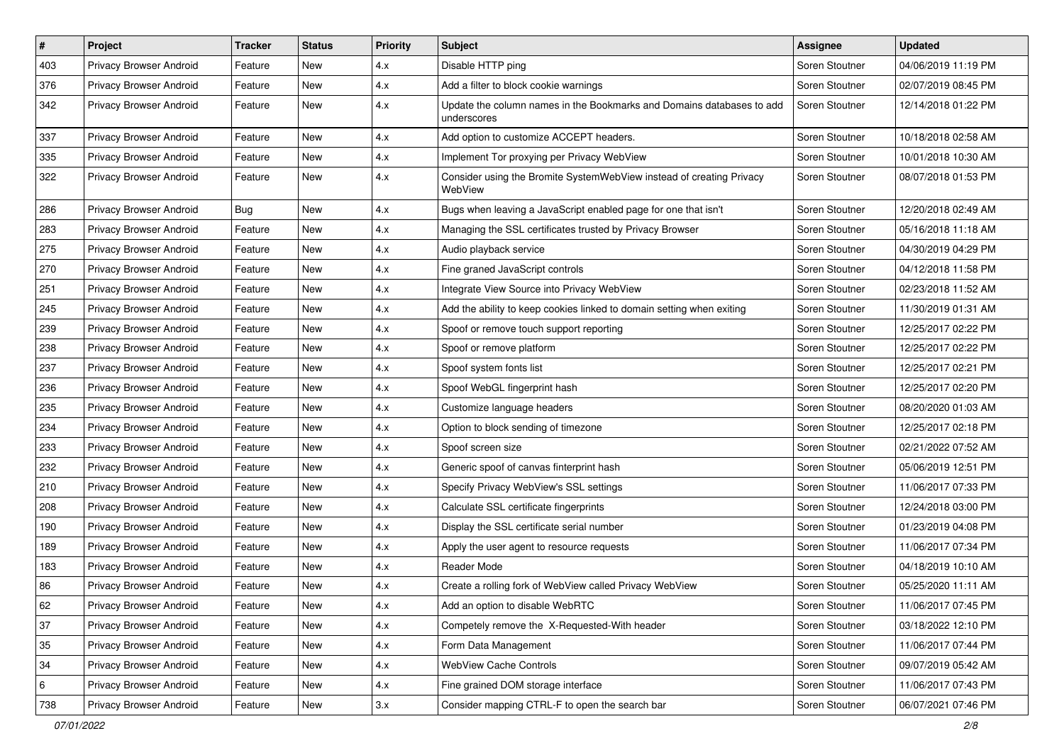| #   | Project                 | <b>Tracker</b> | <b>Status</b> | <b>Priority</b> | <b>Subject</b>                                                                       | Assignee       | <b>Updated</b>      |
|-----|-------------------------|----------------|---------------|-----------------|--------------------------------------------------------------------------------------|----------------|---------------------|
| 403 | Privacy Browser Android | Feature        | <b>New</b>    | 4.x             | Disable HTTP ping                                                                    | Soren Stoutner | 04/06/2019 11:19 PM |
| 376 | Privacy Browser Android | Feature        | <b>New</b>    | 4.x             | Add a filter to block cookie warnings                                                | Soren Stoutner | 02/07/2019 08:45 PM |
| 342 | Privacy Browser Android | Feature        | New           | 4.x             | Update the column names in the Bookmarks and Domains databases to add<br>underscores | Soren Stoutner | 12/14/2018 01:22 PM |
| 337 | Privacy Browser Android | Feature        | <b>New</b>    | 4.x             | Add option to customize ACCEPT headers.                                              | Soren Stoutner | 10/18/2018 02:58 AM |
| 335 | Privacy Browser Android | Feature        | New           | 4.x             | Implement Tor proxying per Privacy WebView                                           | Soren Stoutner | 10/01/2018 10:30 AM |
| 322 | Privacy Browser Android | Feature        | <b>New</b>    | 4.x             | Consider using the Bromite SystemWebView instead of creating Privacy<br>WebView      | Soren Stoutner | 08/07/2018 01:53 PM |
| 286 | Privacy Browser Android | <b>Bug</b>     | <b>New</b>    | 4.x             | Bugs when leaving a JavaScript enabled page for one that isn't                       | Soren Stoutner | 12/20/2018 02:49 AM |
| 283 | Privacy Browser Android | Feature        | <b>New</b>    | 4.x             | Managing the SSL certificates trusted by Privacy Browser                             | Soren Stoutner | 05/16/2018 11:18 AM |
| 275 | Privacy Browser Android | Feature        | New           | 4.x             | Audio playback service                                                               | Soren Stoutner | 04/30/2019 04:29 PM |
| 270 | Privacy Browser Android | Feature        | <b>New</b>    | 4.x             | Fine graned JavaScript controls                                                      | Soren Stoutner | 04/12/2018 11:58 PM |
| 251 | Privacy Browser Android | Feature        | <b>New</b>    | 4.x             | Integrate View Source into Privacy WebView                                           | Soren Stoutner | 02/23/2018 11:52 AM |
| 245 | Privacy Browser Android | Feature        | New           | 4.x             | Add the ability to keep cookies linked to domain setting when exiting                | Soren Stoutner | 11/30/2019 01:31 AM |
| 239 | Privacy Browser Android | Feature        | <b>New</b>    | 4.x             | Spoof or remove touch support reporting                                              | Soren Stoutner | 12/25/2017 02:22 PM |
| 238 | Privacy Browser Android | Feature        | New           | 4.x             | Spoof or remove platform                                                             | Soren Stoutner | 12/25/2017 02:22 PM |
| 237 | Privacy Browser Android | Feature        | <b>New</b>    | 4.x             | Spoof system fonts list                                                              | Soren Stoutner | 12/25/2017 02:21 PM |
| 236 | Privacy Browser Android | Feature        | <b>New</b>    | 4.x             | Spoof WebGL fingerprint hash                                                         | Soren Stoutner | 12/25/2017 02:20 PM |
| 235 | Privacy Browser Android | Feature        | New           | 4.x             | Customize language headers                                                           | Soren Stoutner | 08/20/2020 01:03 AM |
| 234 | Privacy Browser Android | Feature        | <b>New</b>    | 4.x             | Option to block sending of timezone                                                  | Soren Stoutner | 12/25/2017 02:18 PM |
| 233 | Privacy Browser Android | Feature        | New           | 4.x             | Spoof screen size                                                                    | Soren Stoutner | 02/21/2022 07:52 AM |
| 232 | Privacy Browser Android | Feature        | <b>New</b>    | 4.x             | Generic spoof of canvas finterprint hash                                             | Soren Stoutner | 05/06/2019 12:51 PM |
| 210 | Privacy Browser Android | Feature        | <b>New</b>    | 4.x             | Specify Privacy WebView's SSL settings                                               | Soren Stoutner | 11/06/2017 07:33 PM |
| 208 | Privacy Browser Android | Feature        | New           | 4.x             | Calculate SSL certificate fingerprints                                               | Soren Stoutner | 12/24/2018 03:00 PM |
| 190 | Privacy Browser Android | Feature        | <b>New</b>    | 4.x             | Display the SSL certificate serial number                                            | Soren Stoutner | 01/23/2019 04:08 PM |
| 189 | Privacy Browser Android | Feature        | <b>New</b>    | 4.x             | Apply the user agent to resource requests                                            | Soren Stoutner | 11/06/2017 07:34 PM |
| 183 | Privacy Browser Android | Feature        | New           | 4.x             | Reader Mode                                                                          | Soren Stoutner | 04/18/2019 10:10 AM |
| 86  | Privacy Browser Android | Feature        | <b>New</b>    | 4.x             | Create a rolling fork of WebView called Privacy WebView                              | Soren Stoutner | 05/25/2020 11:11 AM |
| 62  | Privacy Browser Android | Feature        | New           | 4.x             | Add an option to disable WebRTC                                                      | Soren Stoutner | 11/06/2017 07:45 PM |
| 37  | Privacy Browser Android | Feature        | New           | 4.x             | Competely remove the X-Requested-With header                                         | Soren Stoutner | 03/18/2022 12:10 PM |
| 35  | Privacy Browser Android | Feature        | New           | 4.x             | Form Data Management                                                                 | Soren Stoutner | 11/06/2017 07:44 PM |
| 34  | Privacy Browser Android | Feature        | New           | 4.x             | WebView Cache Controls                                                               | Soren Stoutner | 09/07/2019 05:42 AM |
| 6   | Privacy Browser Android | Feature        | New           | 4.x             | Fine grained DOM storage interface                                                   | Soren Stoutner | 11/06/2017 07:43 PM |
| 738 | Privacy Browser Android | Feature        | New           | 3.x             | Consider mapping CTRL-F to open the search bar                                       | Soren Stoutner | 06/07/2021 07:46 PM |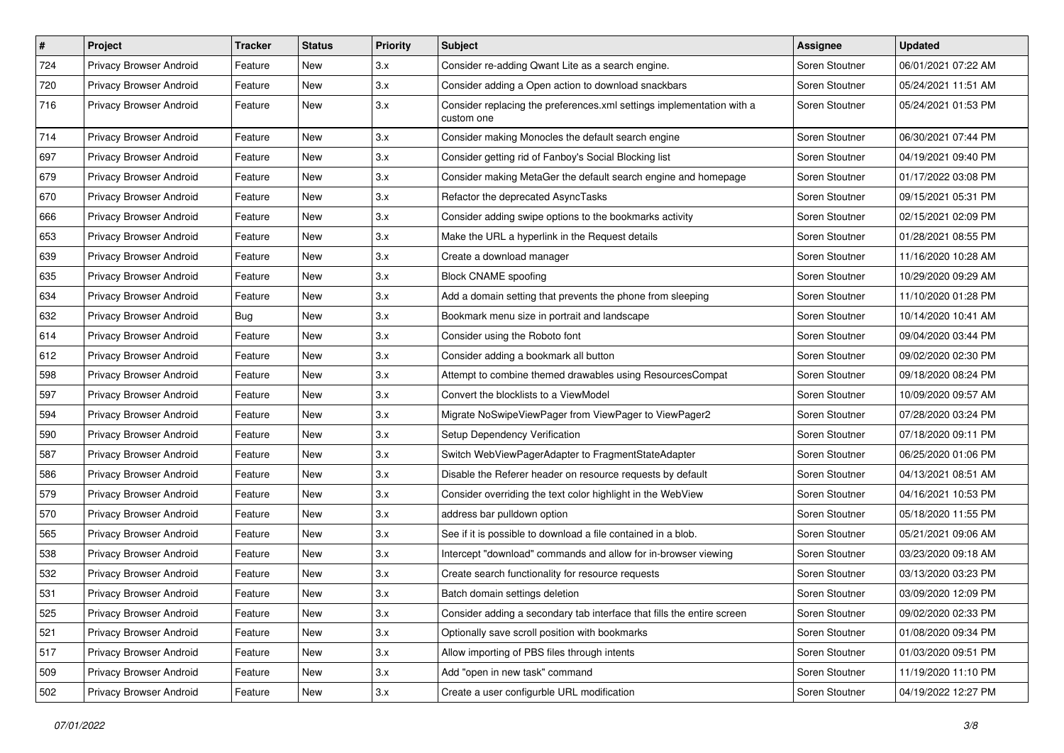| $\vert$ # | Project                        | <b>Tracker</b> | <b>Status</b> | <b>Priority</b> | Subject                                                                             | Assignee       | <b>Updated</b>      |
|-----------|--------------------------------|----------------|---------------|-----------------|-------------------------------------------------------------------------------------|----------------|---------------------|
| 724       | Privacy Browser Android        | Feature        | New           | 3.x             | Consider re-adding Qwant Lite as a search engine.                                   | Soren Stoutner | 06/01/2021 07:22 AM |
| 720       | Privacy Browser Android        | Feature        | <b>New</b>    | 3.x             | Consider adding a Open action to download snackbars                                 | Soren Stoutner | 05/24/2021 11:51 AM |
| 716       | <b>Privacy Browser Android</b> | Feature        | New           | 3.x             | Consider replacing the preferences.xml settings implementation with a<br>custom one | Soren Stoutner | 05/24/2021 01:53 PM |
| 714       | Privacy Browser Android        | Feature        | <b>New</b>    | 3.x             | Consider making Monocles the default search engine                                  | Soren Stoutner | 06/30/2021 07:44 PM |
| 697       | Privacy Browser Android        | Feature        | New           | 3.x             | Consider getting rid of Fanboy's Social Blocking list                               | Soren Stoutner | 04/19/2021 09:40 PM |
| 679       | Privacy Browser Android        | Feature        | New           | 3.x             | Consider making MetaGer the default search engine and homepage                      | Soren Stoutner | 01/17/2022 03:08 PM |
| 670       | <b>Privacy Browser Android</b> | Feature        | New           | 3.x             | Refactor the deprecated AsyncTasks                                                  | Soren Stoutner | 09/15/2021 05:31 PM |
| 666       | Privacy Browser Android        | Feature        | New           | 3.x             | Consider adding swipe options to the bookmarks activity                             | Soren Stoutner | 02/15/2021 02:09 PM |
| 653       | Privacy Browser Android        | Feature        | <b>New</b>    | 3.x             | Make the URL a hyperlink in the Request details                                     | Soren Stoutner | 01/28/2021 08:55 PM |
| 639       | Privacy Browser Android        | Feature        | New           | 3.x             | Create a download manager                                                           | Soren Stoutner | 11/16/2020 10:28 AM |
| 635       | Privacy Browser Android        | Feature        | New           | 3.x             | <b>Block CNAME spoofing</b>                                                         | Soren Stoutner | 10/29/2020 09:29 AM |
| 634       | Privacy Browser Android        | Feature        | New           | 3.x             | Add a domain setting that prevents the phone from sleeping                          | Soren Stoutner | 11/10/2020 01:28 PM |
| 632       | Privacy Browser Android        | Bug            | New           | 3.x             | Bookmark menu size in portrait and landscape                                        | Soren Stoutner | 10/14/2020 10:41 AM |
| 614       | Privacy Browser Android        | Feature        | New           | 3.x             | Consider using the Roboto font                                                      | Soren Stoutner | 09/04/2020 03:44 PM |
| 612       | Privacy Browser Android        | Feature        | New           | 3.x             | Consider adding a bookmark all button                                               | Soren Stoutner | 09/02/2020 02:30 PM |
| 598       | <b>Privacy Browser Android</b> | Feature        | New           | 3.x             | Attempt to combine themed drawables using ResourcesCompat                           | Soren Stoutner | 09/18/2020 08:24 PM |
| 597       | Privacy Browser Android        | Feature        | New           | 3.x             | Convert the blocklists to a ViewModel                                               | Soren Stoutner | 10/09/2020 09:57 AM |
| 594       | Privacy Browser Android        | Feature        | New           | 3.x             | Migrate NoSwipeViewPager from ViewPager to ViewPager2                               | Soren Stoutner | 07/28/2020 03:24 PM |
| 590       | Privacy Browser Android        | Feature        | New           | 3.x             | Setup Dependency Verification                                                       | Soren Stoutner | 07/18/2020 09:11 PM |
| 587       | Privacy Browser Android        | Feature        | New           | 3.x             | Switch WebViewPagerAdapter to FragmentStateAdapter                                  | Soren Stoutner | 06/25/2020 01:06 PM |
| 586       | Privacy Browser Android        | Feature        | New           | 3.x             | Disable the Referer header on resource requests by default                          | Soren Stoutner | 04/13/2021 08:51 AM |
| 579       | Privacy Browser Android        | Feature        | New           | 3.x             | Consider overriding the text color highlight in the WebView                         | Soren Stoutner | 04/16/2021 10:53 PM |
| 570       | Privacy Browser Android        | Feature        | New           | 3.x             | address bar pulldown option                                                         | Soren Stoutner | 05/18/2020 11:55 PM |
| 565       | Privacy Browser Android        | Feature        | New           | 3.x             | See if it is possible to download a file contained in a blob.                       | Soren Stoutner | 05/21/2021 09:06 AM |
| 538       | Privacy Browser Android        | Feature        | New           | 3.x             | Intercept "download" commands and allow for in-browser viewing                      | Soren Stoutner | 03/23/2020 09:18 AM |
| 532       | Privacy Browser Android        | Feature        | New           | 3.x             | Create search functionality for resource requests                                   | Soren Stoutner | 03/13/2020 03:23 PM |
| 531       | Privacy Browser Android        | Feature        | New           | 3.x             | Batch domain settings deletion                                                      | Soren Stoutner | 03/09/2020 12:09 PM |
| 525       | Privacy Browser Android        | Feature        | New           | 3.x             | Consider adding a secondary tab interface that fills the entire screen              | Soren Stoutner | 09/02/2020 02:33 PM |
| 521       | Privacy Browser Android        | Feature        | New           | 3.x             | Optionally save scroll position with bookmarks                                      | Soren Stoutner | 01/08/2020 09:34 PM |
| 517       | Privacy Browser Android        | Feature        | New           | 3.x             | Allow importing of PBS files through intents                                        | Soren Stoutner | 01/03/2020 09:51 PM |
| 509       | Privacy Browser Android        | Feature        | New           | 3.x             | Add "open in new task" command                                                      | Soren Stoutner | 11/19/2020 11:10 PM |
| 502       | Privacy Browser Android        | Feature        | New           | 3.x             | Create a user configurble URL modification                                          | Soren Stoutner | 04/19/2022 12:27 PM |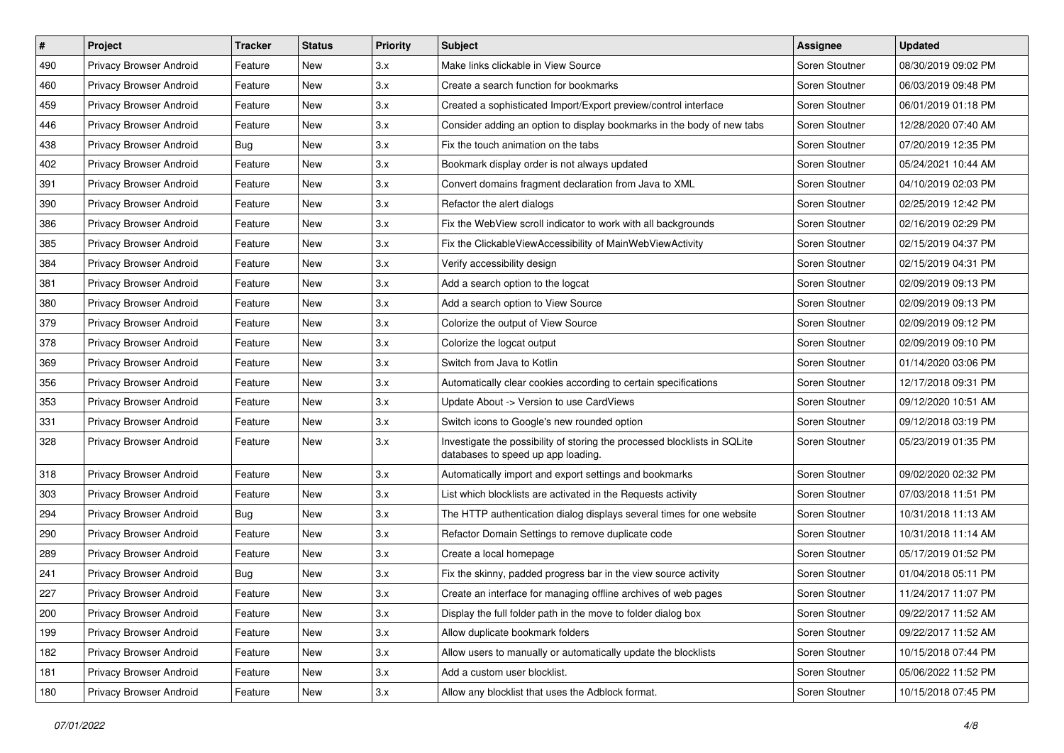| $\pmb{\#}$ | Project                        | <b>Tracker</b> | <b>Status</b> | <b>Priority</b> | <b>Subject</b>                                                                                                  | Assignee       | <b>Updated</b>      |
|------------|--------------------------------|----------------|---------------|-----------------|-----------------------------------------------------------------------------------------------------------------|----------------|---------------------|
| 490        | Privacy Browser Android        | Feature        | New           | 3.x             | Make links clickable in View Source                                                                             | Soren Stoutner | 08/30/2019 09:02 PM |
| 460        | Privacy Browser Android        | Feature        | New           | 3.x             | Create a search function for bookmarks                                                                          | Soren Stoutner | 06/03/2019 09:48 PM |
| 459        | Privacy Browser Android        | Feature        | New           | 3.x             | Created a sophisticated Import/Export preview/control interface                                                 | Soren Stoutner | 06/01/2019 01:18 PM |
| 446        | Privacy Browser Android        | Feature        | New           | 3.x             | Consider adding an option to display bookmarks in the body of new tabs                                          | Soren Stoutner | 12/28/2020 07:40 AM |
| 438        | Privacy Browser Android        | Bug            | New           | 3.x             | Fix the touch animation on the tabs                                                                             | Soren Stoutner | 07/20/2019 12:35 PM |
| 402        | Privacy Browser Android        | Feature        | New           | 3.x             | Bookmark display order is not always updated                                                                    | Soren Stoutner | 05/24/2021 10:44 AM |
| 391        | Privacy Browser Android        | Feature        | New           | 3.x             | Convert domains fragment declaration from Java to XML                                                           | Soren Stoutner | 04/10/2019 02:03 PM |
| 390        | Privacy Browser Android        | Feature        | New           | 3.x             | Refactor the alert dialogs                                                                                      | Soren Stoutner | 02/25/2019 12:42 PM |
| 386        | Privacy Browser Android        | Feature        | New           | 3.x             | Fix the WebView scroll indicator to work with all backgrounds                                                   | Soren Stoutner | 02/16/2019 02:29 PM |
| 385        | Privacy Browser Android        | Feature        | New           | 3.x             | Fix the ClickableViewAccessibility of MainWebViewActivity                                                       | Soren Stoutner | 02/15/2019 04:37 PM |
| 384        | Privacy Browser Android        | Feature        | New           | 3.x             | Verify accessibility design                                                                                     | Soren Stoutner | 02/15/2019 04:31 PM |
| 381        | Privacy Browser Android        | Feature        | New           | 3.x             | Add a search option to the logcat                                                                               | Soren Stoutner | 02/09/2019 09:13 PM |
| 380        | Privacy Browser Android        | Feature        | New           | 3.x             | Add a search option to View Source                                                                              | Soren Stoutner | 02/09/2019 09:13 PM |
| 379        | Privacy Browser Android        | Feature        | New           | 3.x             | Colorize the output of View Source                                                                              | Soren Stoutner | 02/09/2019 09:12 PM |
| 378        | Privacy Browser Android        | Feature        | New           | 3.x             | Colorize the logcat output                                                                                      | Soren Stoutner | 02/09/2019 09:10 PM |
| 369        | Privacy Browser Android        | Feature        | New           | 3.x             | Switch from Java to Kotlin                                                                                      | Soren Stoutner | 01/14/2020 03:06 PM |
| 356        | Privacy Browser Android        | Feature        | New           | 3.x             | Automatically clear cookies according to certain specifications                                                 | Soren Stoutner | 12/17/2018 09:31 PM |
| 353        | Privacy Browser Android        | Feature        | New           | 3.x             | Update About -> Version to use CardViews                                                                        | Soren Stoutner | 09/12/2020 10:51 AM |
| 331        | Privacy Browser Android        | Feature        | New           | 3.x             | Switch icons to Google's new rounded option                                                                     | Soren Stoutner | 09/12/2018 03:19 PM |
| 328        | Privacy Browser Android        | Feature        | New           | 3.x             | Investigate the possibility of storing the processed blocklists in SQLite<br>databases to speed up app loading. | Soren Stoutner | 05/23/2019 01:35 PM |
| 318        | Privacy Browser Android        | Feature        | New           | 3.x             | Automatically import and export settings and bookmarks                                                          | Soren Stoutner | 09/02/2020 02:32 PM |
| 303        | Privacy Browser Android        | Feature        | New           | 3.x             | List which blocklists are activated in the Requests activity                                                    | Soren Stoutner | 07/03/2018 11:51 PM |
| 294        | Privacy Browser Android        | <b>Bug</b>     | New           | 3.x             | The HTTP authentication dialog displays several times for one website                                           | Soren Stoutner | 10/31/2018 11:13 AM |
| 290        | Privacy Browser Android        | Feature        | New           | 3.x             | Refactor Domain Settings to remove duplicate code                                                               | Soren Stoutner | 10/31/2018 11:14 AM |
| 289        | Privacy Browser Android        | Feature        | New           | 3.x             | Create a local homepage                                                                                         | Soren Stoutner | 05/17/2019 01:52 PM |
| 241        | Privacy Browser Android        | <b>Bug</b>     | New           | 3.x             | Fix the skinny, padded progress bar in the view source activity                                                 | Soren Stoutner | 01/04/2018 05:11 PM |
| 227        | Privacy Browser Android        | Feature        | New           | 3.x             | Create an interface for managing offline archives of web pages                                                  | Soren Stoutner | 11/24/2017 11:07 PM |
| 200        | <b>Privacy Browser Android</b> | Feature        | New           | 3.x             | Display the full folder path in the move to folder dialog box                                                   | Soren Stoutner | 09/22/2017 11:52 AM |
| 199        | Privacy Browser Android        | Feature        | New           | 3.x             | Allow duplicate bookmark folders                                                                                | Soren Stoutner | 09/22/2017 11:52 AM |
| 182        | Privacy Browser Android        | Feature        | New           | 3.x             | Allow users to manually or automatically update the blocklists                                                  | Soren Stoutner | 10/15/2018 07:44 PM |
| 181        | Privacy Browser Android        | Feature        | New           | 3.x             | Add a custom user blocklist.                                                                                    | Soren Stoutner | 05/06/2022 11:52 PM |
| 180        | Privacy Browser Android        | Feature        | New           | 3.x             | Allow any blocklist that uses the Adblock format.                                                               | Soren Stoutner | 10/15/2018 07:45 PM |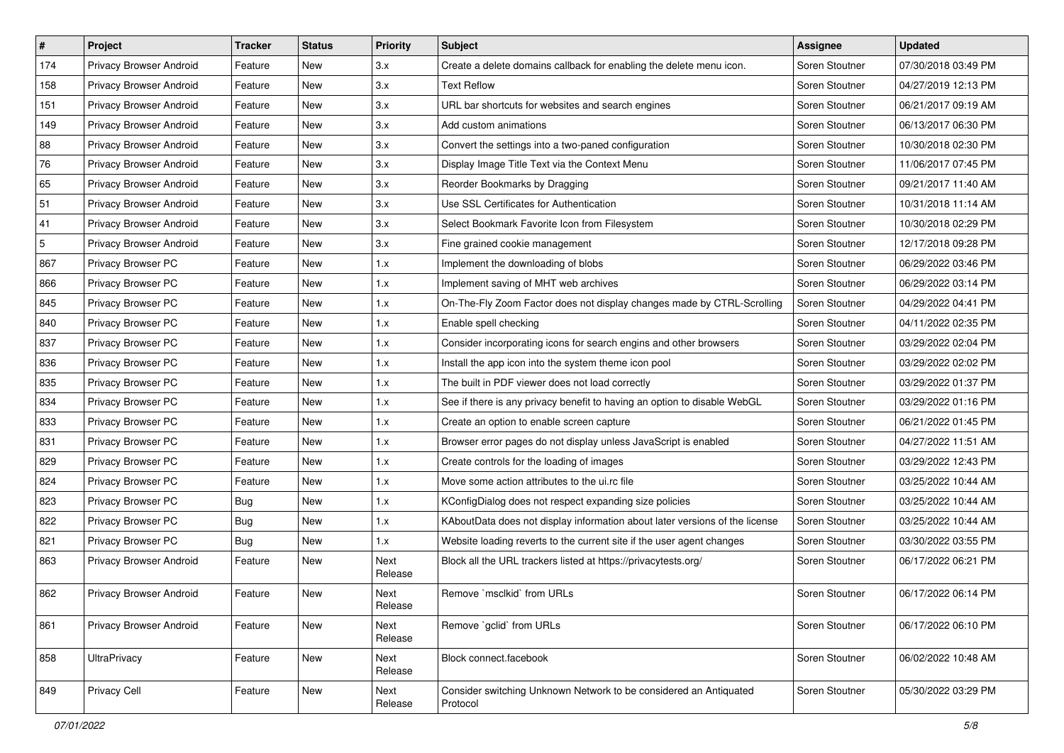| $\pmb{\#}$ | Project                 | <b>Tracker</b> | <b>Status</b> | <b>Priority</b> | Subject                                                                       | <b>Assignee</b> | <b>Updated</b>      |
|------------|-------------------------|----------------|---------------|-----------------|-------------------------------------------------------------------------------|-----------------|---------------------|
| 174        | Privacy Browser Android | Feature        | New           | 3.x             | Create a delete domains callback for enabling the delete menu icon.           | Soren Stoutner  | 07/30/2018 03:49 PM |
| 158        | Privacy Browser Android | Feature        | New           | 3.x             | <b>Text Reflow</b>                                                            | Soren Stoutner  | 04/27/2019 12:13 PM |
| 151        | Privacy Browser Android | Feature        | New           | 3.x             | URL bar shortcuts for websites and search engines                             | Soren Stoutner  | 06/21/2017 09:19 AM |
| 149        | Privacy Browser Android | Feature        | New           | 3.x             | Add custom animations                                                         | Soren Stoutner  | 06/13/2017 06:30 PM |
| 88         | Privacy Browser Android | Feature        | New           | 3.x             | Convert the settings into a two-paned configuration                           | Soren Stoutner  | 10/30/2018 02:30 PM |
| 76         | Privacy Browser Android | Feature        | New           | 3.x             | Display Image Title Text via the Context Menu                                 | Soren Stoutner  | 11/06/2017 07:45 PM |
| 65         | Privacy Browser Android | Feature        | New           | 3.x             | Reorder Bookmarks by Dragging                                                 | Soren Stoutner  | 09/21/2017 11:40 AM |
| 51         | Privacy Browser Android | Feature        | New           | 3.x             | Use SSL Certificates for Authentication                                       | Soren Stoutner  | 10/31/2018 11:14 AM |
| 41         | Privacy Browser Android | Feature        | New           | 3.x             | Select Bookmark Favorite Icon from Filesystem                                 | Soren Stoutner  | 10/30/2018 02:29 PM |
| 5          | Privacy Browser Android | Feature        | New           | 3.x             | Fine grained cookie management                                                | Soren Stoutner  | 12/17/2018 09:28 PM |
| 867        | Privacy Browser PC      | Feature        | New           | 1.x             | Implement the downloading of blobs                                            | Soren Stoutner  | 06/29/2022 03:46 PM |
| 866        | Privacy Browser PC      | Feature        | New           | 1.x             | Implement saving of MHT web archives                                          | Soren Stoutner  | 06/29/2022 03:14 PM |
| 845        | Privacy Browser PC      | Feature        | <b>New</b>    | 1.x             | On-The-Fly Zoom Factor does not display changes made by CTRL-Scrolling        | Soren Stoutner  | 04/29/2022 04:41 PM |
| 840        | Privacy Browser PC      | Feature        | New           | 1.x             | Enable spell checking                                                         | Soren Stoutner  | 04/11/2022 02:35 PM |
| 837        | Privacy Browser PC      | Feature        | New           | 1.x             | Consider incorporating icons for search engins and other browsers             | Soren Stoutner  | 03/29/2022 02:04 PM |
| 836        | Privacy Browser PC      | Feature        | New           | 1.x             | Install the app icon into the system theme icon pool                          | Soren Stoutner  | 03/29/2022 02:02 PM |
| 835        | Privacy Browser PC      | Feature        | New           | 1.x             | The built in PDF viewer does not load correctly                               | Soren Stoutner  | 03/29/2022 01:37 PM |
| 834        | Privacy Browser PC      | Feature        | New           | 1.x             | See if there is any privacy benefit to having an option to disable WebGL      | Soren Stoutner  | 03/29/2022 01:16 PM |
| 833        | Privacy Browser PC      | Feature        | New           | 1.x             | Create an option to enable screen capture                                     | Soren Stoutner  | 06/21/2022 01:45 PM |
| 831        | Privacy Browser PC      | Feature        | New           | 1.x             | Browser error pages do not display unless JavaScript is enabled               | Soren Stoutner  | 04/27/2022 11:51 AM |
| 829        | Privacy Browser PC      | Feature        | New           | 1.x             | Create controls for the loading of images                                     | Soren Stoutner  | 03/29/2022 12:43 PM |
| 824        | Privacy Browser PC      | Feature        | New           | 1.x             | Move some action attributes to the ui.rc file                                 | Soren Stoutner  | 03/25/2022 10:44 AM |
| 823        | Privacy Browser PC      | <b>Bug</b>     | New           | 1.x             | KConfigDialog does not respect expanding size policies                        | Soren Stoutner  | 03/25/2022 10:44 AM |
| 822        | Privacy Browser PC      | <b>Bug</b>     | New           | 1.x             | KAboutData does not display information about later versions of the license   | Soren Stoutner  | 03/25/2022 10:44 AM |
| 821        | Privacy Browser PC      | <b>Bug</b>     | New           | 1.x             | Website loading reverts to the current site if the user agent changes         | Soren Stoutner  | 03/30/2022 03:55 PM |
| 863        | Privacy Browser Android | Feature        | <b>New</b>    | Next<br>Release | Block all the URL trackers listed at https://privacytests.org/                | Soren Stoutner  | 06/17/2022 06:21 PM |
| 862        | Privacy Browser Android | Feature        | New           | Next<br>Release | Remove `msclkid` from URLs                                                    | Soren Stoutner  | 06/17/2022 06:14 PM |
| 861        | Privacy Browser Android | Feature        | New           | Next<br>Release | Remove `gclid` from URLs                                                      | Soren Stoutner  | 06/17/2022 06:10 PM |
| 858        | <b>UltraPrivacy</b>     | Feature        | New           | Next<br>Release | Block connect.facebook                                                        | Soren Stoutner  | 06/02/2022 10:48 AM |
| 849        | <b>Privacy Cell</b>     | Feature        | New           | Next<br>Release | Consider switching Unknown Network to be considered an Antiquated<br>Protocol | Soren Stoutner  | 05/30/2022 03:29 PM |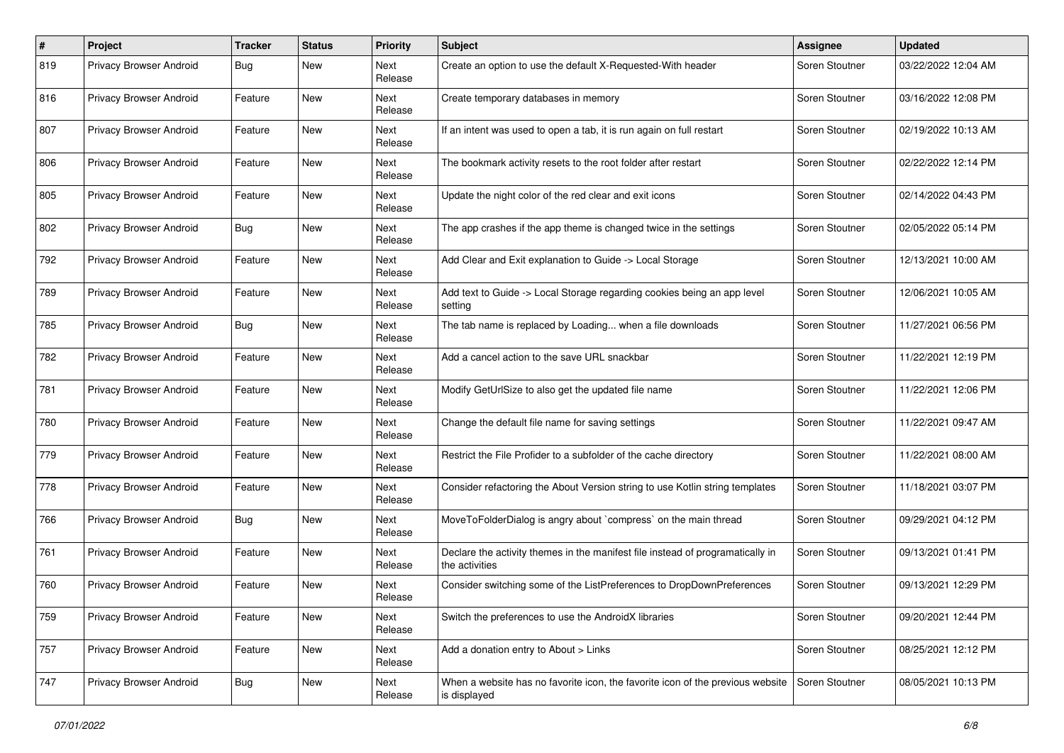| #   | Project                        | <b>Tracker</b> | <b>Status</b> | <b>Priority</b>        | Subject                                                                                          | Assignee       | <b>Updated</b>      |
|-----|--------------------------------|----------------|---------------|------------------------|--------------------------------------------------------------------------------------------------|----------------|---------------------|
| 819 | Privacy Browser Android        | Bug            | New           | Next<br>Release        | Create an option to use the default X-Requested-With header                                      | Soren Stoutner | 03/22/2022 12:04 AM |
| 816 | Privacy Browser Android        | Feature        | New           | Next<br>Release        | Create temporary databases in memory                                                             | Soren Stoutner | 03/16/2022 12:08 PM |
| 807 | Privacy Browser Android        | Feature        | New           | <b>Next</b><br>Release | If an intent was used to open a tab, it is run again on full restart                             | Soren Stoutner | 02/19/2022 10:13 AM |
| 806 | Privacy Browser Android        | Feature        | New           | <b>Next</b><br>Release | The bookmark activity resets to the root folder after restart                                    | Soren Stoutner | 02/22/2022 12:14 PM |
| 805 | Privacy Browser Android        | Feature        | New           | Next<br>Release        | Update the night color of the red clear and exit icons                                           | Soren Stoutner | 02/14/2022 04:43 PM |
| 802 | Privacy Browser Android        | <b>Bug</b>     | New           | Next<br>Release        | The app crashes if the app theme is changed twice in the settings                                | Soren Stoutner | 02/05/2022 05:14 PM |
| 792 | Privacy Browser Android        | Feature        | New           | Next<br>Release        | Add Clear and Exit explanation to Guide -> Local Storage                                         | Soren Stoutner | 12/13/2021 10:00 AM |
| 789 | Privacy Browser Android        | Feature        | New           | Next<br>Release        | Add text to Guide -> Local Storage regarding cookies being an app level<br>setting               | Soren Stoutner | 12/06/2021 10:05 AM |
| 785 | <b>Privacy Browser Android</b> | <b>Bug</b>     | New           | Next<br>Release        | The tab name is replaced by Loading when a file downloads                                        | Soren Stoutner | 11/27/2021 06:56 PM |
| 782 | Privacy Browser Android        | Feature        | New           | Next<br>Release        | Add a cancel action to the save URL snackbar                                                     | Soren Stoutner | 11/22/2021 12:19 PM |
| 781 | Privacy Browser Android        | Feature        | New           | <b>Next</b><br>Release | Modify GetUrlSize to also get the updated file name                                              | Soren Stoutner | 11/22/2021 12:06 PM |
| 780 | Privacy Browser Android        | Feature        | New           | Next<br>Release        | Change the default file name for saving settings                                                 | Soren Stoutner | 11/22/2021 09:47 AM |
| 779 | Privacy Browser Android        | Feature        | New           | Next<br>Release        | Restrict the File Profider to a subfolder of the cache directory                                 | Soren Stoutner | 11/22/2021 08:00 AM |
| 778 | Privacy Browser Android        | Feature        | New           | <b>Next</b><br>Release | Consider refactoring the About Version string to use Kotlin string templates                     | Soren Stoutner | 11/18/2021 03:07 PM |
| 766 | Privacy Browser Android        | <b>Bug</b>     | New           | Next<br>Release        | MoveToFolderDialog is angry about `compress` on the main thread                                  | Soren Stoutner | 09/29/2021 04:12 PM |
| 761 | Privacy Browser Android        | Feature        | New           | Next<br>Release        | Declare the activity themes in the manifest file instead of programatically in<br>the activities | Soren Stoutner | 09/13/2021 01:41 PM |
| 760 | Privacy Browser Android        | Feature        | New           | <b>Next</b><br>Release | Consider switching some of the ListPreferences to DropDownPreferences                            | Soren Stoutner | 09/13/2021 12:29 PM |
| 759 | Privacy Browser Android        | Feature        | New           | Next<br>Release        | Switch the preferences to use the AndroidX libraries                                             | Soren Stoutner | 09/20/2021 12:44 PM |
| 757 | Privacy Browser Android        | Feature        | New           | Next<br>Release        | Add a donation entry to About > Links                                                            | Soren Stoutner | 08/25/2021 12:12 PM |
| 747 | <b>Privacy Browser Android</b> | <b>Bug</b>     | New           | Next<br>Release        | When a website has no favorite icon, the favorite icon of the previous website<br>is displayed   | Soren Stoutner | 08/05/2021 10:13 PM |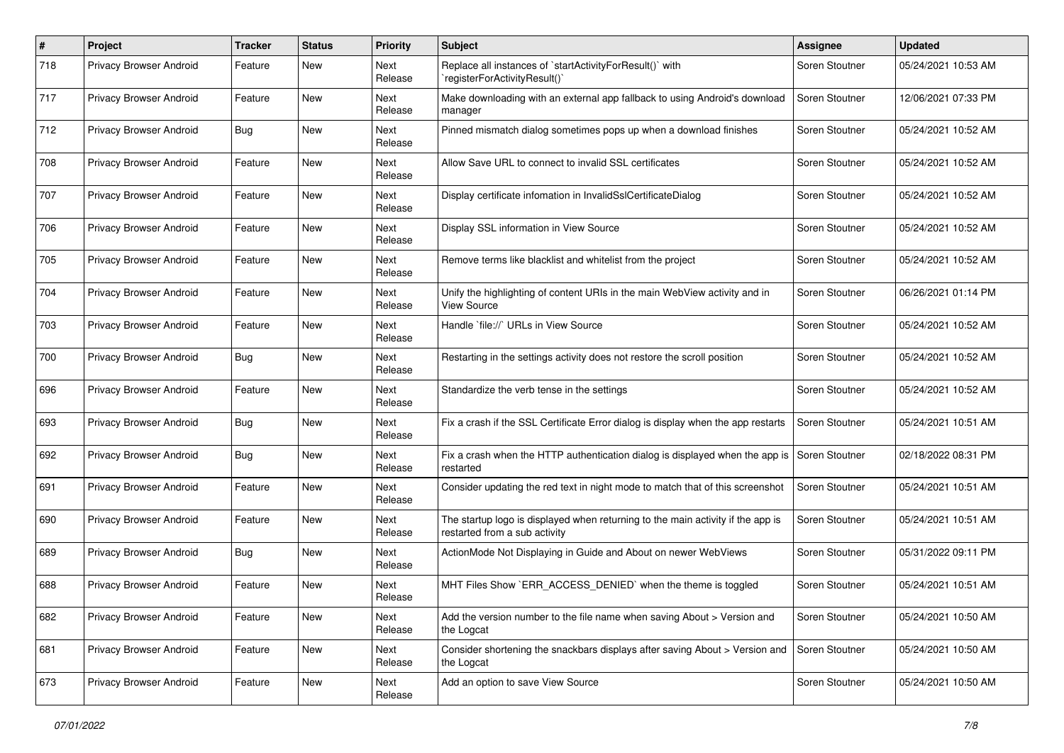| $\#$ | Project                        | <b>Tracker</b> | <b>Status</b> | <b>Priority</b> | <b>Subject</b>                                                                                                   | Assignee       | <b>Updated</b>      |
|------|--------------------------------|----------------|---------------|-----------------|------------------------------------------------------------------------------------------------------------------|----------------|---------------------|
| 718  | Privacy Browser Android        | Feature        | New           | Next<br>Release | Replace all instances of `startActivityForResult()` with<br>'registerForActivityResult()'                        | Soren Stoutner | 05/24/2021 10:53 AM |
| 717  | Privacy Browser Android        | Feature        | New           | Next<br>Release | Make downloading with an external app fallback to using Android's download<br>manager                            | Soren Stoutner | 12/06/2021 07:33 PM |
| 712  | Privacy Browser Android        | Bug            | New           | Next<br>Release | Pinned mismatch dialog sometimes pops up when a download finishes                                                | Soren Stoutner | 05/24/2021 10:52 AM |
| 708  | Privacy Browser Android        | Feature        | New           | Next<br>Release | Allow Save URL to connect to invalid SSL certificates                                                            | Soren Stoutner | 05/24/2021 10:52 AM |
| 707  | Privacy Browser Android        | Feature        | New           | Next<br>Release | Display certificate infomation in InvalidSslCertificateDialog                                                    | Soren Stoutner | 05/24/2021 10:52 AM |
| 706  | Privacy Browser Android        | Feature        | New           | Next<br>Release | Display SSL information in View Source                                                                           | Soren Stoutner | 05/24/2021 10:52 AM |
| 705  | Privacy Browser Android        | Feature        | New           | Next<br>Release | Remove terms like blacklist and whitelist from the project                                                       | Soren Stoutner | 05/24/2021 10:52 AM |
| 704  | Privacy Browser Android        | Feature        | New           | Next<br>Release | Unify the highlighting of content URIs in the main WebView activity and in<br>View Source                        | Soren Stoutner | 06/26/2021 01:14 PM |
| 703  | Privacy Browser Android        | Feature        | New           | Next<br>Release | Handle `file://` URLs in View Source                                                                             | Soren Stoutner | 05/24/2021 10:52 AM |
| 700  | Privacy Browser Android        | <b>Bug</b>     | New           | Next<br>Release | Restarting in the settings activity does not restore the scroll position                                         | Soren Stoutner | 05/24/2021 10:52 AM |
| 696  | Privacy Browser Android        | Feature        | New           | Next<br>Release | Standardize the verb tense in the settings                                                                       | Soren Stoutner | 05/24/2021 10:52 AM |
| 693  | Privacy Browser Android        | <b>Bug</b>     | New           | Next<br>Release | Fix a crash if the SSL Certificate Error dialog is display when the app restarts                                 | Soren Stoutner | 05/24/2021 10:51 AM |
| 692  | Privacy Browser Android        | Bug            | New           | Next<br>Release | Fix a crash when the HTTP authentication dialog is displayed when the app is<br>restarted                        | Soren Stoutner | 02/18/2022 08:31 PM |
| 691  | Privacy Browser Android        | Feature        | New           | Next<br>Release | Consider updating the red text in night mode to match that of this screenshot                                    | Soren Stoutner | 05/24/2021 10:51 AM |
| 690  | Privacy Browser Android        | Feature        | New           | Next<br>Release | The startup logo is displayed when returning to the main activity if the app is<br>restarted from a sub activity | Soren Stoutner | 05/24/2021 10:51 AM |
| 689  | Privacy Browser Android        | Bug            | New           | Next<br>Release | ActionMode Not Displaying in Guide and About on newer WebViews                                                   | Soren Stoutner | 05/31/2022 09:11 PM |
| 688  | <b>Privacy Browser Android</b> | Feature        | New           | Next<br>Release | MHT Files Show `ERR_ACCESS_DENIED` when the theme is toggled                                                     | Soren Stoutner | 05/24/2021 10:51 AM |
| 682  | <b>Privacy Browser Android</b> | Feature        | New           | Next<br>Release | Add the version number to the file name when saving About > Version and<br>the Logcat                            | Soren Stoutner | 05/24/2021 10:50 AM |
| 681  | Privacy Browser Android        | Feature        | New           | Next<br>Release | Consider shortening the snackbars displays after saving About > Version and<br>the Logcat                        | Soren Stoutner | 05/24/2021 10:50 AM |
| 673  | <b>Privacy Browser Android</b> | Feature        | New           | Next<br>Release | Add an option to save View Source                                                                                | Soren Stoutner | 05/24/2021 10:50 AM |